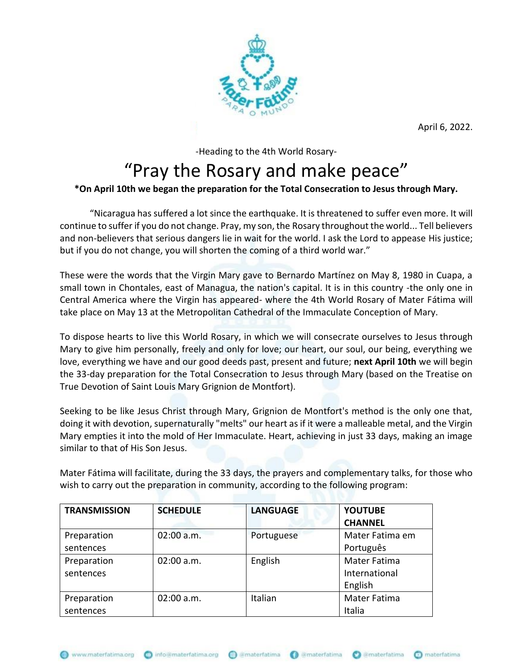

April 6, 2022.

-Heading to the 4th World Rosary-

## "Pray the Rosary and make peace"

## **\*On April 10th we began the preparation for the Total Consecration to Jesus through Mary.**

"Nicaragua has suffered a lot since the earthquake. It is threatened to suffer even more. It will continue to suffer if you do not change. Pray, my son, the Rosary throughout the world... Tell believers and non-believers that serious dangers lie in wait for the world. I ask the Lord to appease His justice; but if you do not change, you will shorten the coming of a third world war."

These were the words that the Virgin Mary gave to Bernardo Martínez on May 8, 1980 in Cuapa, a small town in Chontales, east of Managua, the nation's capital. It is in this country -the only one in Central America where the Virgin has appeared- where the 4th World Rosary of Mater Fátima will take place on May 13 at the Metropolitan Cathedral of the Immaculate Conception of Mary.

To dispose hearts to live this World Rosary, in which we will consecrate ourselves to Jesus through Mary to give him personally, freely and only for love; our heart, our soul, our being, everything we love, everything we have and our good deeds past, present and future; **next April 10th** we will begin the 33-day preparation for the Total Consecration to Jesus through Mary (based on the Treatise on True Devotion of Saint Louis Mary Grignion de Montfort).

Seeking to be like Jesus Christ through Mary, Grignion de Montfort's method is the only one that, doing it with devotion, supernaturally "melts" our heart as if it were a malleable metal, and the Virgin Mary empties it into the mold of Her Immaculate. Heart, achieving in just 33 days, making an image similar to that of His Son Jesus.

Mater Fátima will facilitate, during the 33 days, the prayers and complementary talks, for those who wish to carry out the preparation in community, according to the following program:

| <b>TRANSMISSION</b> | <b>SCHEDULE</b> | <b>LANGUAGE</b> | <b>YOUTUBE</b>      |
|---------------------|-----------------|-----------------|---------------------|
|                     |                 |                 | <b>CHANNEL</b>      |
| Preparation         | 02:00 a.m.      | Portuguese      | Mater Fatima em     |
| sentences           |                 |                 | Português           |
| Preparation         | $02:00$ a.m.    | English         | <b>Mater Fatima</b> |
| sentences           |                 |                 | International       |
|                     |                 |                 | English             |
| Preparation         | $02:00$ a.m.    | Italian         | Mater Fatima        |
| sentences           |                 |                 | Italia              |